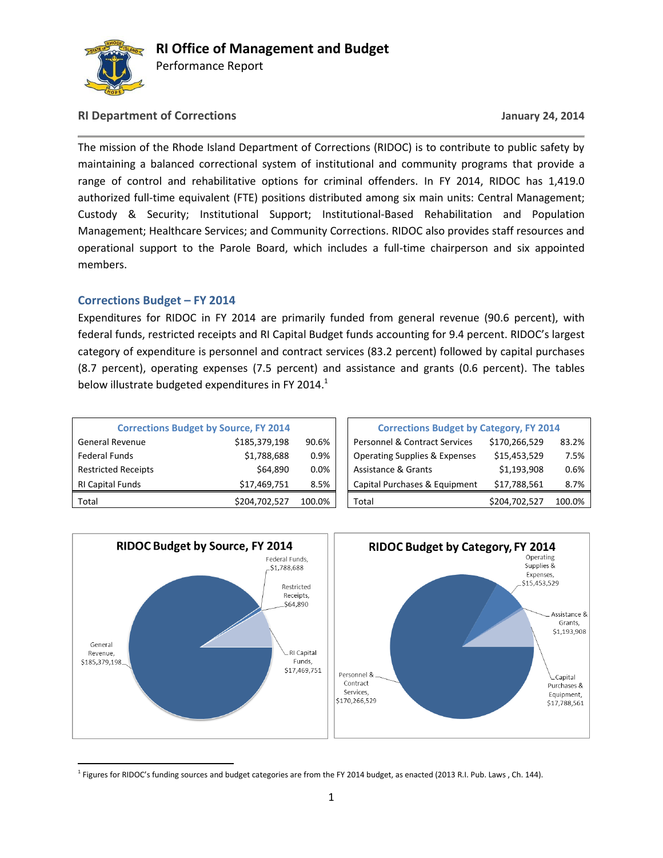

Performance Report

### **RI Department of Corrections January 24, 2014**

The mission of the Rhode Island Department of Corrections (RIDOC) is to contribute to public safety by maintaining a balanced correctional system of institutional and community programs that provide a range of control and rehabilitative options for criminal offenders. In FY 2014, RIDOC has 1,419.0 authorized full-time equivalent (FTE) positions distributed among six main units: Central Management; Custody & Security; Institutional Support; Institutional-Based Rehabilitation and Population Management; Healthcare Services; and Community Corrections. RIDOC also provides staff resources and operational support to the Parole Board, which includes a full-time chairperson and six appointed members.

### **Corrections Budget – FY 2014**

Expenditures for RIDOC in FY 2014 are primarily funded from general revenue (90.6 percent), with federal funds, restricted receipts and RI Capital Budget funds accounting for 9.4 percent. RIDOC's largest category of expenditure is personnel and contract services (83.2 percent) followed by capital purchases (8.7 percent), operating expenses (7.5 percent) and assistance and grants (0.6 percent). The tables below illustrate budgeted expenditures in FY 2014. $^1$ 

|                            | <b>Corrections Budget by Source, FY 2014</b> | <b>Corrections Budget by Category, FY 2014</b> |                                                           |        |
|----------------------------|----------------------------------------------|------------------------------------------------|-----------------------------------------------------------|--------|
| <b>General Revenue</b>     | \$185,379,198                                | 90.6%                                          | <b>Personnel &amp; Contract Services</b><br>\$170,266,529 | 83.2%  |
| <b>Federal Funds</b>       | \$1,788,688                                  | 0.9%                                           | \$15,453,529<br><b>Operating Supplies &amp; Expenses</b>  | 7.5%   |
| <b>Restricted Receipts</b> | \$64,890                                     | 0.0%                                           | \$1,193,908<br>Assistance & Grants                        | 0.6%   |
| <b>RI Capital Funds</b>    | \$17,469,751                                 | 8.5%                                           | Capital Purchases & Equipment<br>\$17,788,561             | 8.7%   |
| Total                      | \$204,702,527                                | 100.0%                                         | \$204,702,527<br>Total                                    | 100.0% |

| <b>Corrections Budget by Category, FY 2014</b> |               |        |  |  |  |  |  |  |  |
|------------------------------------------------|---------------|--------|--|--|--|--|--|--|--|
| <b>Personnel &amp; Contract Services</b>       | \$170,266,529 | 83.2%  |  |  |  |  |  |  |  |
| <b>Operating Supplies &amp; Expenses</b>       | \$15,453,529  | 7.5%   |  |  |  |  |  |  |  |
| <b>Assistance &amp; Grants</b>                 | \$1,193,908   | 0.6%   |  |  |  |  |  |  |  |
| Capital Purchases & Equipment                  | \$17,788,561  | 8.7%   |  |  |  |  |  |  |  |
| Total                                          | \$204,702,527 | 100.0% |  |  |  |  |  |  |  |



l <sup>1</sup> Figures for RIDOC's funding sources and budget categories are from the FY 2014 budget, as enacted (2013 R.I. Pub. Laws , Ch. 144).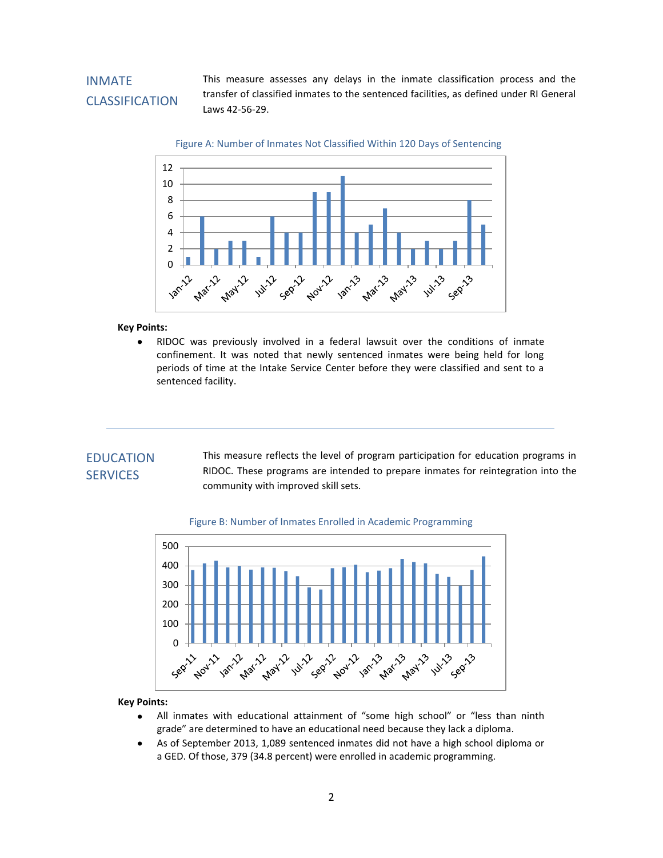# INMATE CLASSIFICATION

This measure assesses any delays in the inmate classification process and the transfer of classified inmates to the sentenced facilities, as defined under RI General Laws 42-56-29.



#### **Key Points:**

RIDOC was previously involved in a federal lawsuit over the conditions of inmate confinement. It was noted that newly sentenced inmates were being held for long periods of time at the Intake Service Center before they were classified and sent to a sentenced facility.

## **EDUCATION SERVICES**

community with improved skill sets. This measure reflects the level of program participation for education programs in RIDOC. These programs are intended to prepare inmates for reintegration into the





- All inmates with educational attainment of "some high school" or "less than ninth  $\bullet$ grade" are determined to have an educational need because they lack a diploma.
- $\bullet$ As of September 2013, 1,089 sentenced inmates did not have a high school diploma or a GED. Of those, 379 (34.8 percent) were enrolled in academic programming.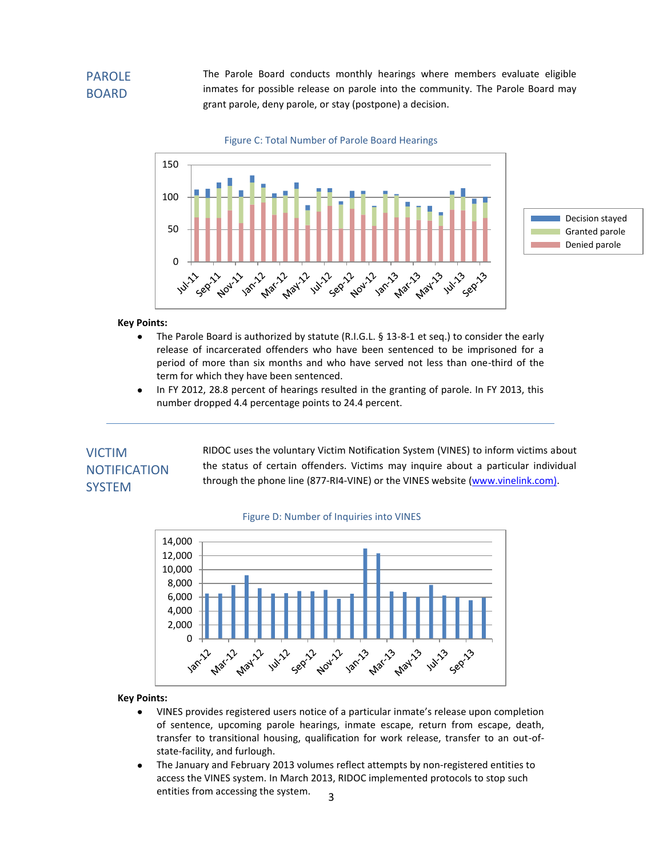# PAROLE BOARD

The Parole Board conducts monthly hearings where members evaluate eligible inmates for possible release on parole into the community. The Parole Board may grant parole, deny parole, or stay (postpone) a decision.

Figure C: Total Number of Parole Board Hearings



#### **Key Points:**

- The Parole Board is authorized by statute (R.I.G.L. § 13-8-1 et seq.) to consider the early  $\bullet$ release of incarcerated offenders who have been sentenced to be imprisoned for a period of more than six months and who have served not less than one-third of the term for which they have been sentenced.
- In FY 2012, 28.8 percent of hearings resulted in the granting of parole. In FY 2013, this  $\bullet$ number dropped 4.4 percentage points to 24.4 percent.

## VICTIM **NOTIFICATION SYSTEM**

RIDOC uses the voluntary Victim Notification System (VINES) to inform victims about the status of certain offenders. Victims may inquire about a particular individual through the phone line (877-RI4-VINE) or the VINES website [\(www.vinelink.com\)](http://www.vinelink.com/).



#### Figure D: Number of Inquiries into VINES

- VINES provides registered users notice of a particular inmate's release upon completion  $\bullet$ of sentence, upcoming parole hearings, inmate escape, return from escape, death, transfer to transitional housing, qualification for work release, transfer to an out-ofstate-facility, and furlough.
- The January and February 2013 volumes reflect attempts by non-registered entities to  $\bullet$ access the VINES system. In March 2013, RIDOC implemented protocols to stop such entities from accessing the system. 3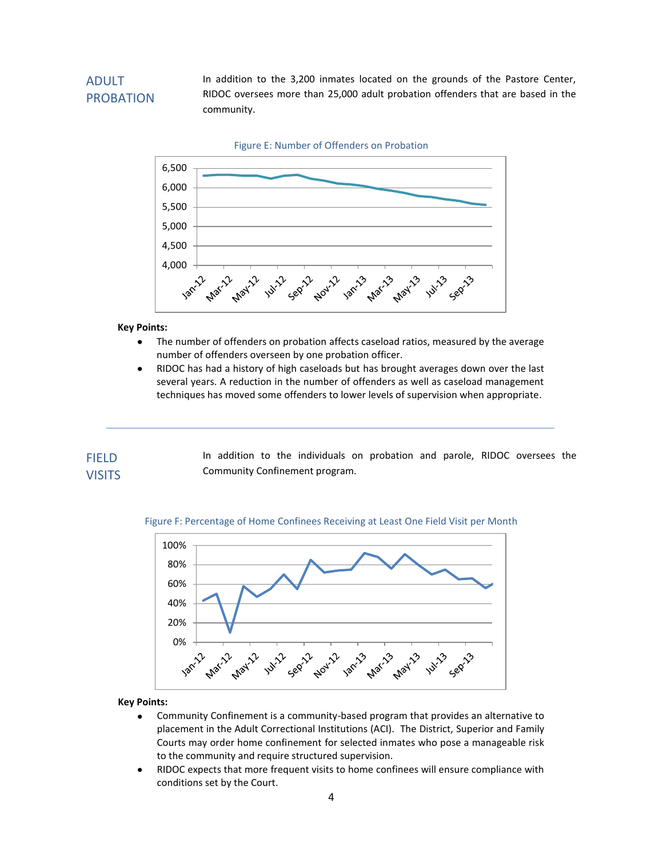# ADULT PROBATION

In addition to the 3,200 inmates located on the grounds of the Pastore Center, RIDOC oversees more than 25,000 adult probation offenders that are based in the community.



### **Key Points:**

- The number of offenders on probation affects caseload ratios, measured by the average  $\bullet$ number of offenders overseen by one probation officer.
- RIDOC has had a history of high caseloads but has brought averages down over the last  $\bullet$ several years. A reduction in the number of offenders as well as caseload management techniques has moved some offenders to lower levels of supervision when appropriate.

| <b>FIELD</b>  |                                |  |  |  | In addition to the individuals on probation and parole, RIDOC oversees the |  |  |  |  |  |
|---------------|--------------------------------|--|--|--|----------------------------------------------------------------------------|--|--|--|--|--|
| <b>VISITS</b> | Community Confinement program. |  |  |  |                                                                            |  |  |  |  |  |

#### Figure F: Percentage of Home Confinees Receiving at Least One Field Visit per Month



- Community Confinement is a community-based program that provides an alternative to  $\bullet$ placement in the Adult Correctional Institutions (ACI). The District, Superior and Family Courts may order home confinement for selected inmates who pose a manageable risk to the community and require structured supervision.
- RIDOC expects that more frequent visits to home confinees will ensure compliance with  $\bullet$ conditions set by the Court.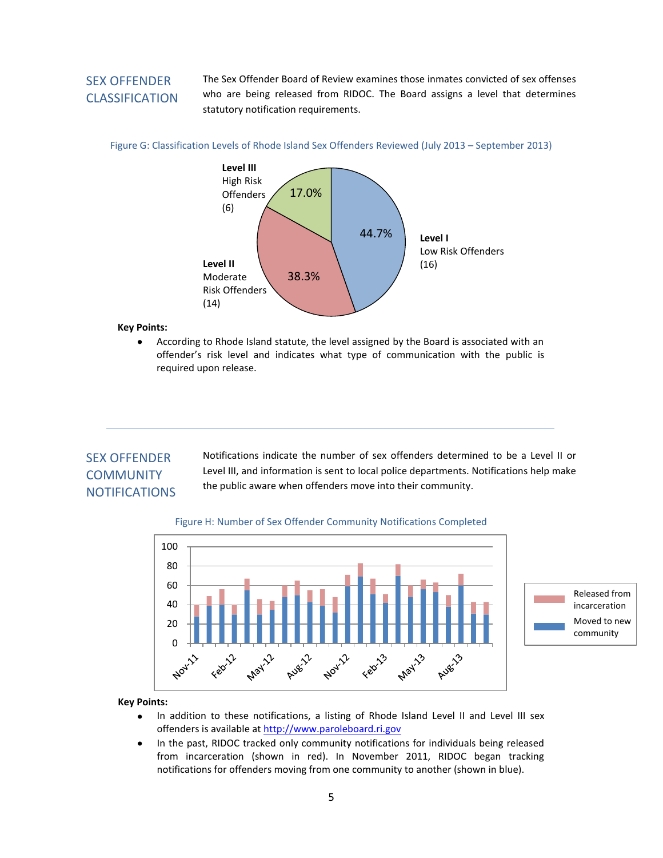## SEX OFFENDER CLASSIFICATION

The Sex Offender Board of Review examines those inmates convicted of sex offenses who are being released from RIDOC. The Board assigns a level that determines statutory notification requirements.

#### Figure G: Classification Levels of Rhode Island Sex Offenders Reviewed (July 2013 – September 2013)



#### **Key Points:**

According to Rhode Island statute, the level assigned by the Board is associated with an offender's risk level and indicates what type of communication with the public is required upon release.

## SEX OFFENDER **COMMUNITY** NOTIFICATIONS

Notifications indicate the number of sex offenders determined to be a Level II or Level III, and information is sent to local police departments. Notifications help make the public aware when offenders move into their community.

### Figure H: Number of Sex Offender Community Notifications Completed



- In addition to these notifications, a listing of Rhode Island Level II and Level III sex  $\bullet$ offenders is available a[t http://www.paroleboard.ri.gov](http://www.paroleboard.ri.gov/)
- $\bullet$ In the past, RIDOC tracked only community notifications for individuals being released from incarceration (shown in red). In November 2011, RIDOC began tracking notifications for offenders moving from one community to another (shown in blue).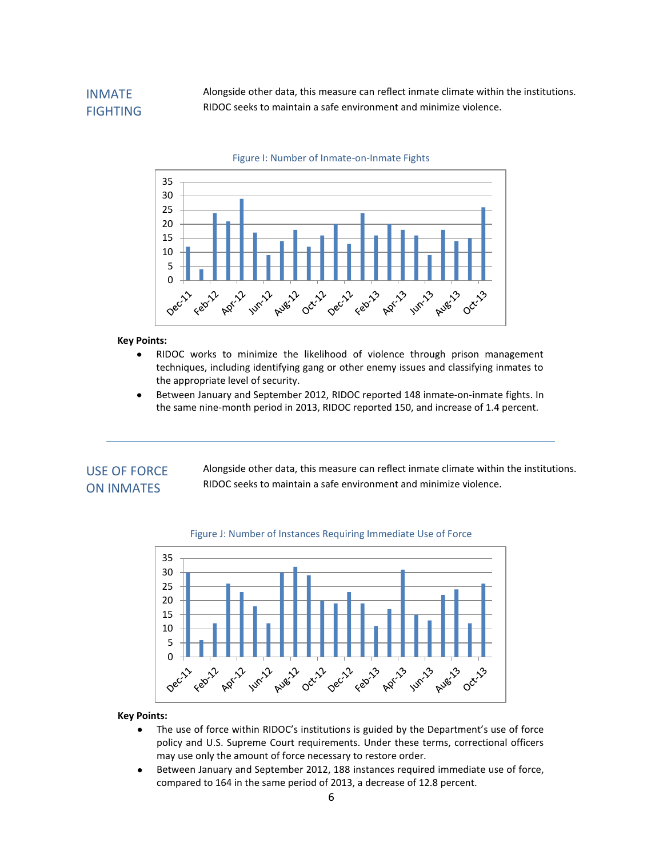## INMATE FIGHTING

Alongside other data, this measure can reflect inmate climate within the institutions. RIDOC seeks to maintain a safe environment and minimize violence.



#### Figure I: Number of Inmate-on-Inmate Fights

#### **Key Points:**

- RIDOC works to minimize the likelihood of violence through prison management  $\bullet$ techniques, including identifying gang or other enemy issues and classifying inmates to the appropriate level of security.
- Between January and September 2012, RIDOC reported 148 inmate-on-inmate fights. In  $\bullet$ the same nine-month period in 2013, RIDOC reported 150, and increase of 1.4 percent.

### USE OF FORCE ON INMATES

Alongside other data, this measure can reflect inmate climate within the institutions. RIDOC seeks to maintain a safe environment and minimize violence.



#### Figure J: Number of Instances Requiring Immediate Use of Force

- $\bullet$ The use of force within RIDOC's institutions is guided by the Department's use of force policy and U.S. Supreme Court requirements. Under these terms, correctional officers may use only the amount of force necessary to restore order.
- Between January and September 2012, 188 instances required immediate use of force,  $\bullet$ compared to 164 in the same period of 2013, a decrease of 12.8 percent.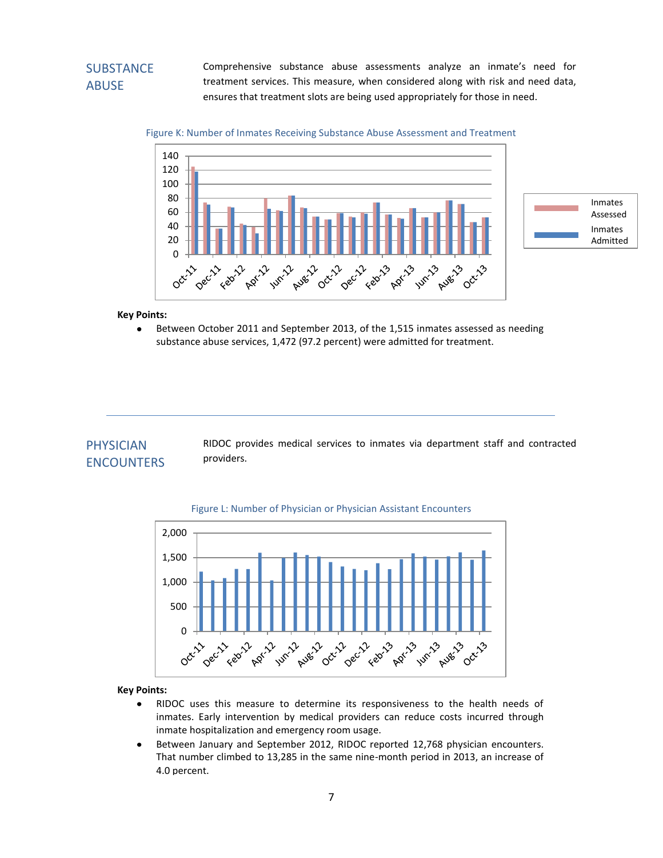# **SUBSTANCE** ABUSE

Comprehensive substance abuse assessments analyze an inmate's need for treatment services. This measure, when considered along with risk and need data, ensures that treatment slots are being used appropriately for those in need.



Figure K: Number of Inmates Receiving Substance Abuse Assessment and Treatment

#### **Key Points:**

Between October 2011 and September 2013, of the 1,515 inmates assessed as needing substance abuse services, 1,472 (97.2 percent) were admitted for treatment.

### PHYSICIAN ENCOUNTERS

RIDOC provides medical services to inmates via department staff and contracted providers.



#### Figure L: Number of Physician or Physician Assistant Encounters

- RIDOC uses this measure to determine its responsiveness to the health needs of  $\bullet$ inmates. Early intervention by medical providers can reduce costs incurred through inmate hospitalization and emergency room usage.
- Between January and September 2012, RIDOC reported 12,768 physician encounters.  $\bullet$ That number climbed to 13,285 in the same nine-month period in 2013, an increase of 4.0 percent.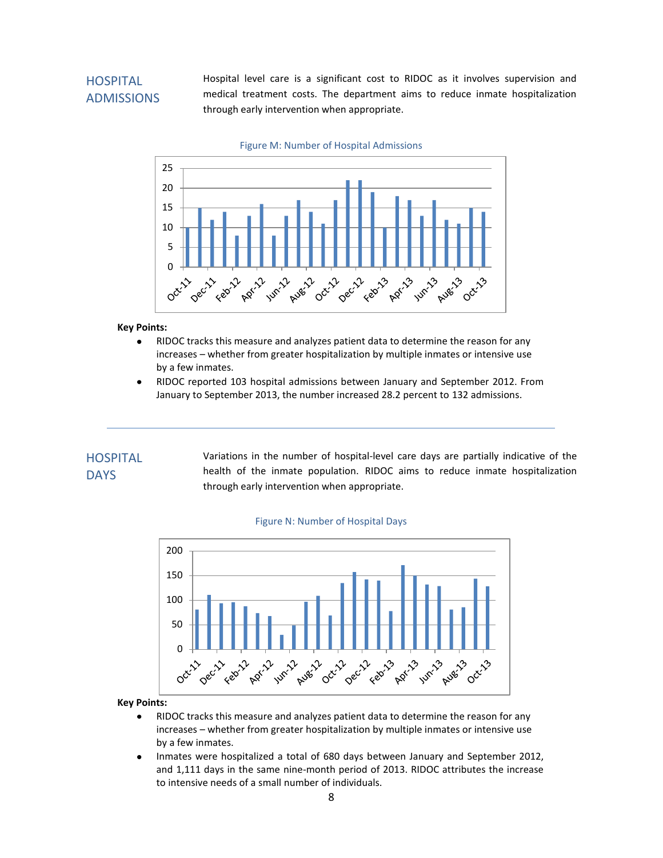# **HOSPITAL** ADMISSIONS

Hospital level care is a significant cost to RIDOC as it involves supervision and medical treatment costs. The department aims to reduce inmate hospitalization through early intervention when appropriate.



**Key Points:**

- RIDOC tracks this measure and analyzes patient data to determine the reason for any  $\bullet$ increases – whether from greater hospitalization by multiple inmates or intensive use by a few inmates.
- RIDOC reported 103 hospital admissions between January and September 2012. From  $\bullet$ January to September 2013, the number increased 28.2 percent to 132 admissions.

### **HOSPITAL DAYS**

Variations in the number of hospital-level care days are partially indicative of the health of the inmate population. RIDOC aims to reduce inmate hospitalization through early intervention when appropriate.



#### Figure N: Number of Hospital Days

- RIDOC tracks this measure and analyzes patient data to determine the reason for any  $\bullet$ increases – whether from greater hospitalization by multiple inmates or intensive use by a few inmates.
- Inmates were hospitalized a total of 680 days between January and September 2012,  $\bullet$ and 1,111 days in the same nine-month period of 2013. RIDOC attributes the increase to intensive needs of a small number of individuals.